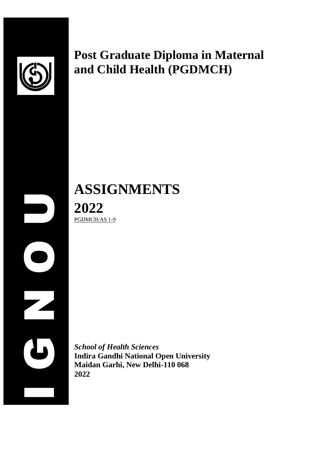

# **Post Graduate Diploma in Maternal and Child Health (PGDMCH)**

**ASSIGNMENTS 2022** PGDMCH/AS 1-9

 $\begin{array}{c|c}\n 20 \\
\hline\n \text{PGDM} \\
\hline\n \text{Mali} \\
\text{Mail} \\
2022\n \end{array}$ **2022**

*School of Health Sciences* **Indira Gandhi National Open University Maidan Garhi, New Delhi-110 068**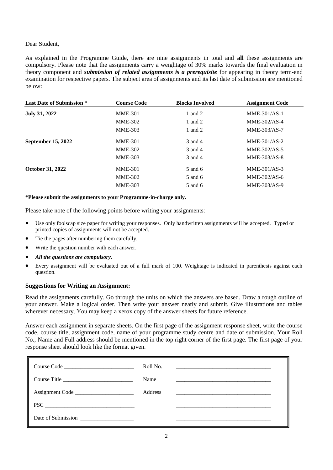### Dear Student,

As explained in the Programme Guide, there are nine assignments in total and **all** these assignments are compulsory. Please note that the assignments carry a weightage of 30% marks towards the final evaluation in theory component and *submission of related assignments is a prerequisite* for appearing in theory term-end examination for respective papers. The subject area of assignments and its last date of submission are mentioned below:

| <b>Last Date of Submission *</b> | <b>Course Code</b> | <b>Blocks Involved</b> | <b>Assignment Code</b> |
|----------------------------------|--------------------|------------------------|------------------------|
| <b>July 31, 2022</b>             | <b>MME-301</b>     | 1 and 2                | $MME-301/AS-1$         |
|                                  | <b>MME-302</b>     | 1 and 2                | $MME-302/AS-4$         |
|                                  | <b>MME-303</b>     | 1 and 2                | MME-303/AS-7           |
| September 15, 2022               | <b>MME-301</b>     | 3 and 4                | $MME-301/AS-2$         |
|                                  | <b>MME-302</b>     | 3 and 4                | $MME-302/AS-5$         |
|                                  | <b>MME-303</b>     | 3 and 4                | $MME-303/AS-8$         |
| <b>October 31, 2022</b>          | <b>MME-301</b>     | 5 and 6                | $MME-301/AS-3$         |
|                                  | <b>MME-302</b>     | 5 and 6                | $MME-302/AS-6$         |
|                                  | <b>MME-303</b>     | 5 and 6                | MME-303/AS-9           |
|                                  |                    |                        |                        |

**\*Please submit the assignments to your Programme-in-charge only.** 

Please take note of the following points before writing your assignments:

- Use only foolscap size paper for writing your responses. Only handwritten assignments will be accepted. Typed or printed copies of assignments will not be accepted.
- Tie the pages after numbering them carefully.
- Write the question number with each answer.
- *All the questions are compulsory.*
- Every assignment will be evaluated out of a full mark of 100. Weightage is indicated in parenthesis against each question.

### **Suggestions for Writing an Assignment:**

Read the assignments carefully. Go through the units on which the answers are based. Draw a rough outline of your answer. Make a logical order. Then write your answer neatly and submit. Give illustrations and tables wherever necessary. You may keep a xerox copy of the answer sheets for future reference.

Answer each assignment in separate sheets. On the first page of the assignment response sheet, write the course code, course title, assignment code, name of your programme study centre and date of submission. Your Roll No., Name and Full address should be mentioned in the top right corner of the first page. The first page of your response sheet should look like the format given.

| Course Code                 | Roll No. | <u> 1980 - Jan Barat, margaret ar brezhon eo ar brezhon en an den an den an den an den an den an den an den an de</u> |
|-----------------------------|----------|-----------------------------------------------------------------------------------------------------------------------|
| Course Title                | Name     |                                                                                                                       |
| Assignment Code             | Address  |                                                                                                                       |
| $\text{PSC} \_\_\_\_\_\_\_$ |          |                                                                                                                       |
| Date of Submission          |          |                                                                                                                       |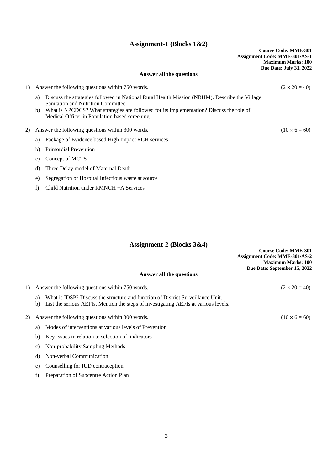### **Assignment-1 (Blocks 1&2)**

|    |          | o                                                                                                                                                                                                                                                                                  | <b>Course Code: MME-301</b><br><b>Assignment Code: MME-301/AS-1</b><br><b>Maximum Marks: 100</b><br>Due Date: July 31, 2022 |
|----|----------|------------------------------------------------------------------------------------------------------------------------------------------------------------------------------------------------------------------------------------------------------------------------------------|-----------------------------------------------------------------------------------------------------------------------------|
|    |          | Answer all the questions                                                                                                                                                                                                                                                           |                                                                                                                             |
| 1) |          | Answer the following questions within 750 words.                                                                                                                                                                                                                                   | $(2 \times 20 = 40)$                                                                                                        |
|    | a)<br>b) | Discuss the strategies followed in National Rural Health Mission (NRHM). Describe the Village<br>Sanitation and Nutrition Committee.<br>What is NPCDCS? What strategies are followed for its implementation? Discuss the role of<br>Medical Officer in Population based screening. |                                                                                                                             |
| 2) |          | Answer the following questions within 300 words.                                                                                                                                                                                                                                   | $(10 \times 6 = 60)$                                                                                                        |
|    | a)       | Package of Evidence based High Impact RCH services                                                                                                                                                                                                                                 |                                                                                                                             |
|    | b)       | <b>Primordial Prevention</b>                                                                                                                                                                                                                                                       |                                                                                                                             |
|    | C)       | Concept of MCTS                                                                                                                                                                                                                                                                    |                                                                                                                             |
|    | d)       | Three Delay model of Maternal Death                                                                                                                                                                                                                                                |                                                                                                                             |
|    | e)       | Segregation of Hospital Infectious waste at source                                                                                                                                                                                                                                 |                                                                                                                             |
|    | f)       | Child Nutrition under $RMNCH + A$ Services                                                                                                                                                                                                                                         |                                                                                                                             |

## **Assignment-2 (Blocks 3&4)**

|     | $\frac{1}{2}$                                                                             |                                      |
|-----|-------------------------------------------------------------------------------------------|--------------------------------------|
|     |                                                                                           | <b>Course Code: MME-301</b>          |
|     |                                                                                           | <b>Assignment Code: MME-301/AS-2</b> |
|     |                                                                                           | <b>Maximum Marks: 100</b>            |
|     |                                                                                           | Due Date: September 15, 2022         |
|     | Answer all the questions                                                                  |                                      |
|     | 1) Answer the following questions within 750 words.                                       | $(2 \times 20 = 40)$                 |
|     | What is IDSP? Discuss the structure and function of District Surveillance Unit.<br>a)     |                                      |
|     | List the serious AEFIs. Mention the steps of investigating AEFIs at various levels.<br>b) |                                      |
| 2). | Answer the following questions within 300 words.                                          | $(10 \times 6 = 60)$                 |
|     |                                                                                           |                                      |
|     | a) Modes of interventions at various levels of Prevention                                 |                                      |

- b) Key Issues in relation to selection of indicators
- c) Non-probability Sampling Methods
- d) Non-verbal Communication
- e) Counselling for IUD contraception
- f) Preparation of Subcentre Action Plan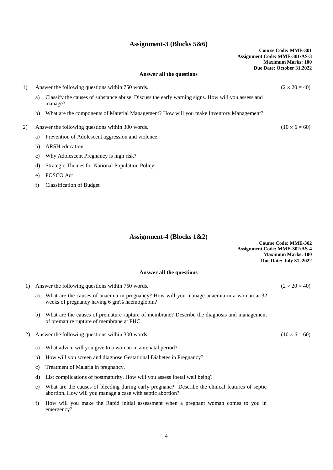### **Assignment-3 (Blocks 5&6)**

|    |    |                                                                                                             | <b>Course Code: MME-301</b><br><b>Assignment Code: MME-301/AS-3</b><br><b>Maximum Marks: 100</b> |
|----|----|-------------------------------------------------------------------------------------------------------------|--------------------------------------------------------------------------------------------------|
|    |    | Answer all the questions                                                                                    | Due Date: October 31,2022                                                                        |
| 1) |    | Answer the following questions within 750 words.                                                            | $(2 \times 20 = 40)$                                                                             |
|    | a) | Classify the causes of substance abuse. Discuss the early warning signs. How will you assess and<br>manage? |                                                                                                  |
|    | b) | What are the components of Material Management? How will you make Inventory Management?                     |                                                                                                  |
| 2) |    | Answer the following questions within 300 words.                                                            | $(10 \times 6 = 60)$                                                                             |
|    | a) | Prevention of Adolescent aggression and violence                                                            |                                                                                                  |
|    | b) | <b>ARSH</b> education                                                                                       |                                                                                                  |
|    | c) | Why Adolescent Pregnancy is high risk?                                                                      |                                                                                                  |
|    | d) | <b>Strategic Themes for National Population Policy</b>                                                      |                                                                                                  |
|    | e) | POSCO Act                                                                                                   |                                                                                                  |
|    | f  | <b>Classification of Budget</b>                                                                             |                                                                                                  |

### **Assignment-4 (Blocks 1&2)**

**Course Code: MME-302 Assignment Code: MME-302/AS-4 Maximum Marks: 100 Due Date: July 31, 2022**

### **Answer all the questions**

1) Answer the following questions within 750 words. ( $2 \times 20 = 40$ )

- a) What are the causes of anaemia in pregnancy? How will you manage anaemia in a woman at 32 weeks of pregnancy having 6 gm% haemoglobin?
- b) What are the causes of premature rupture of membrane? Describe the diagnosis and management of premature rupture of membrane at PHC.
- 2) Answer the following questions within 300 words. (10  $\times$  6 = 60)
	- a) What advice will you give to a woman in antenatal period?
	- b) How will you screen and diagnose Gestational Diabetes in Pregnancy?
	- c) Treatment of Malaria in pregnancy.
	- d) List complications of postmaturity. How will you assess foetal well being?
	- e) What are the causes of bleeding during early pregnanc? Describe the clinical features of septic abortion. How will you manage a case with septic abortion?
	- f) How will you make the Rapid initial assessment when a pregnant woman comes to you in emergency?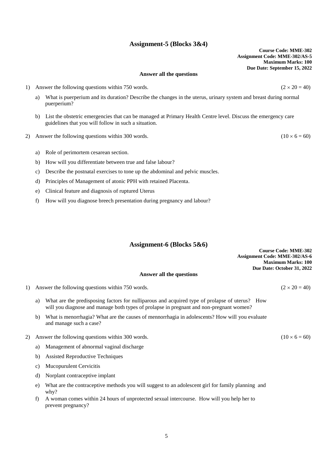## 2) Answer the following questions within 300 words. (10  $\times$  6 = 60)

**Answer all the questions**

a) What is puerperium and its duration? Describe the changes in the uterus, urinary system and breast during normal

b) List the obstetric emergencies that can be managed at Primary Health Centre level. Discuss the emergency care

a) Role of perimortem cesarean section.

puerperium?

b) How will you differentiate between true and false labour?

guidelines that you will follow in such a situation.

- c) Describe the postnatal exercises to tone up the abdominal and pelvic muscles.
- d) Principles of Management of atonic PPH with retained Placenta.
- e) Clinical feature and diagnosis of ruptured Uterus
- f) How will you diagnose breech presentation during pregnancy and labour?

### **Assignment-6 (Blocks 5&6)**

|    |                                                                                                                                                                                           | <b>Maximum Marks: 100</b><br>Due Date: October 31, 2022 |
|----|-------------------------------------------------------------------------------------------------------------------------------------------------------------------------------------------|---------------------------------------------------------|
|    | Answer all the questions                                                                                                                                                                  |                                                         |
|    | 1) Answer the following questions within 750 words.                                                                                                                                       | $(2 \times 20 = 40)$                                    |
| a) | What are the predisposing factors for nulliparous and acquired type of prolapse of uterus? How<br>will you diagnose and manage both types of prolapse in pregnant and non-pregnant women? |                                                         |
| b) | What is menorrhagia? What are the causes of mennorrhagia in adolescents? How will you evaluate                                                                                            |                                                         |

- 2) Answer the following questions within 300 words. (10  $\times$  6 = 60)
	- a) Management of abnormal vaginal discharge
	- b) Assisted Reproductive Techniques

and manage such a case?

- c) Mucopurulent Cervicitis
- d) Norplant contraceptive implant
- e) What are the contraceptive methods you will suggest to an adolescent girl for family planning and why?
- f) A woman comes within 24 hours of unprotected sexual intercourse. How will you help her to prevent pregnancy?

## **Assignment-5 (Blocks 3&4)**

**Course Code: MME-302 Assignment Code: MME-302/AS-5 Maximum Marks: 100 Due Date: September 15, 2022**

1) Answer the following questions within 750 words. ( $2 \times 20 = 40$ )

**Course Code: MME-302**

**Assignment Code: MME-302/AS-6**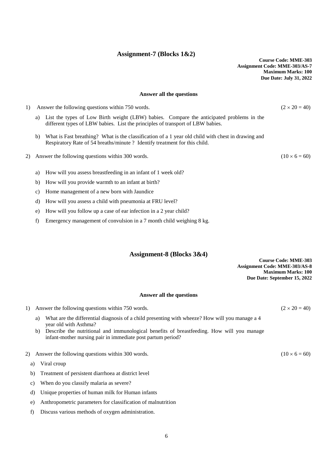### **Assignment-7 (Blocks 1&2)**

**Course Code: MME-303 Assignment Code: MME-303/AS-7 Maximum Marks: 100 Due Date: July 31, 2022**

### **Answer all the questions**

1) Answer the following questions within 750 words. ( $2 \times 20 = 40$ ) a) List the types of Low Birth weight (LBW) babies. Compare the anticipated problems in the different types of LBW babies. List the principles of transport of LBW babies. b) What is Fast breathing? What is the classification of a 1 year old child with chest in drawing and Respiratory Rate of 54 breaths/minute ? Identify treatment for this child.

2) Answer the following questions within 300 words. (10  $\times$  6 = 60)

- a) How will you assess breastfeeding in an infant of 1 week old?
- b) How will you provide warmth to an infant at birth?
- c) Home management of a new born with Jaundice
- d) How will you assess a child with pneumonia at FRU level?
- e) How will you follow up a case of ear infection in a 2 year child?
- f) Emergency management of convulsion in a 7 month child weighing 8 kg.

### **Assignment-8 (Blocks 3&4)**

**Course Code: MME-303 Assignment Code: MME-303/AS-8 Maximum Marks: 100 Due Date: September 15, 2022**

#### **Answer all the questions**

1) Answer the following questions within 750 words. ( $2 \times 20 = 40$ )

- a) What are the differential diagnosis of a child presenting with wheeze? How will you manage a 4 year old with Asthma?
- b) Describe the nutritional and immunological benefits of breastfeeding. How will you manage infant-mother nursing pair in immediate post partum period?
- 2) Answer the following questions within 300 words. (10  $\times$  6 = 60)
	- a) Viral croup
	- b) Treatment of persistent diarrhoea at district level
	- c) When do you classify malaria as severe?
	- d) Unique properties of human milk for Human infants
	- e) Anthropometric parameters for classification of malnutrition
	- f) Discuss various methods of oxygen administration.